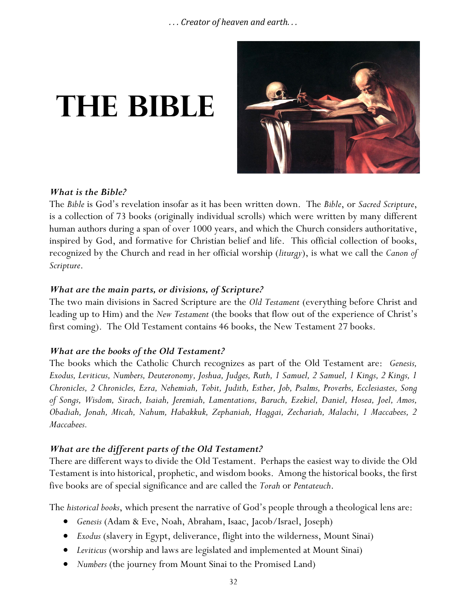# **The bible**



#### *What is the Bible?*

The *Bible* is God's revelation insofar as it has been written down. The *Bible*, or *Sacred Scripture*, is a collection of 73 books (originally individual scrolls) which were written by many different human authors during a span of over 1000 years, and which the Church considers authoritative, inspired by God, and formative for Christian belief and life. This official collection of books, recognized by the Church and read in her official worship (*liturgy*), is what we call the *Canon of Scripture*.

## *What are the main parts, or divisions, of Scripture?*

The two main divisions in Sacred Scripture are the *Old Testament* (everything before Christ and leading up to Him) and the *New Testament* (the books that flow out of the experience of Christ's first coming). The Old Testament contains 46 books, the New Testament 27 books.

## *What are the books of the Old Testament?*

The books which the Catholic Church recognizes as part of the Old Testament are: *Genesis, Exodus, Leviticus, Numbers, Deuteronomy, Joshua, Judges, Ruth, 1 Samuel, 2 Samuel, 1 Kings, 2 Kings, 1 Chronicles, 2 Chronicles, Ezra, Nehemiah, Tobit, Judith, Esther, Job, Psalms, Proverbs, Ecclesiastes, Song of Songs, Wisdom, Sirach, Isaiah, Jeremiah, Lamentations, Baruch, Ezekiel, Daniel, Hosea, Joel, Amos, Obadiah, Jonah, Micah, Nahum, Habakkuk, Zephaniah, Haggai, Zechariah, Malachi, 1 Maccabees, 2 Maccabees.*

## *What are the different parts of the Old Testament?*

There are different ways to divide the Old Testament. Perhaps the easiest way to divide the Old Testament is into historical, prophetic, and wisdom books. Among the historical books, the first five books are of special significance and are called the *Torah* or *Pentateuch*.

The *historical books*, which present the narrative of God's people through a theological lens are:

- *Genesis* (Adam & Eve, Noah, Abraham, Isaac, Jacob/Israel, Joseph)
- *Exodus* (slavery in Egypt, deliverance, flight into the wilderness, Mount Sinai)
- *Leviticus* (worship and laws are legislated and implemented at Mount Sinai)
- *Numbers* (the journey from Mount Sinai to the Promised Land)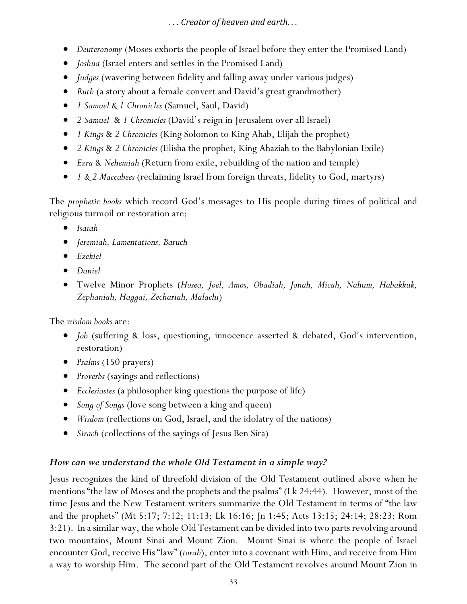- *Deuteronomy* (Moses exhorts the people of Israel before they enter the Promised Land)
- *Joshua* (Israel enters and settles in the Promised Land)
- *Judges* (wavering between fidelity and falling away under various judges)
- *Ruth* (a story about a female convert and David's great grandmother)
- *1 Samuel & 1 Chronicles* (Samuel, Saul, David)
- *2 Samuel* & *1 Chronicles* (David's reign in Jerusalem over all Israel)
- *1 Kings* & *2 Chronicles* (King Solomon to King Ahab, Elijah the prophet)
- *2 Kings* & *2 Chronicles* (Elisha the prophet, King Ahaziah to the Babylonian Exile)
- *Ezra* & *Nehemiah* (Return from exile, rebuilding of the nation and temple)
- *1 & 2 Maccabees* (reclaiming Israel from foreign threats, fidelity to God, martyrs)

The *prophetic books* which record God's messages to His people during times of political and religious turmoil or restoration are:

- *Isaiah*
- *Jeremiah, Lamentations, Baruch*
- *Ezekiel*
- *Daniel*
- Twelve Minor Prophets (*Hosea, Joel, Amos, Obadiah, Jonah, Micah, Nahum, Habakkuk, Zephaniah, Haggai, Zechariah, Malachi*)

The *wisdom books* are:

- *Job* (suffering & loss, questioning, innocence asserted & debated, God's intervention, restoration)
- *Psalms* (150 prayers)
- *Proverbs* (sayings and reflections)
- *Ecclesiastes* (a philosopher king questions the purpose of life)
- *Song of Songs* (love song between a king and queen)
- *Wisdom* (reflections on God, Israel, and the idolatry of the nations)
- *Sirach* (collections of the sayings of Jesus Ben Sira)

# *How can we understand the whole Old Testament in a simple way?*

Jesus recognizes the kind of threefold division of the Old Testament outlined above when he mentions "the law of Moses and the prophets and the psalms" (Lk 24:44). However, most of the time Jesus and the New Testament writers summarize the Old Testament in terms of "the law and the prophets" (Mt 5:17; 7:12; 11:13; Lk 16:16; Jn 1:45; Acts 13:15; 24:14; 28:23; Rom 3:21). In a similar way, the whole Old Testament can be divided into two parts revolving around two mountains, Mount Sinai and Mount Zion. Mount Sinai is where the people of Israel encounter God, receive His "law" (*torah*), enter into a covenant with Him, and receive from Him a way to worship Him. The second part of the Old Testament revolves around Mount Zion in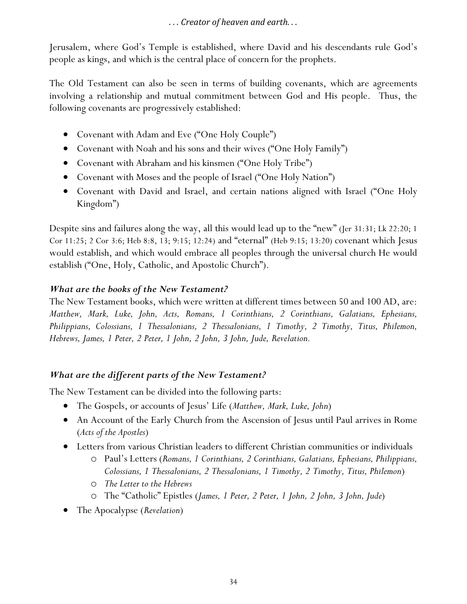Jerusalem, where God's Temple is established, where David and his descendants rule God's people as kings, and which is the central place of concern for the prophets.

The Old Testament can also be seen in terms of building covenants, which are agreements involving a relationship and mutual commitment between God and His people. Thus, the following covenants are progressively established:

- Covenant with Adam and Eve ("One Holy Couple")
- Covenant with Noah and his sons and their wives ("One Holy Family")
- Covenant with Abraham and his kinsmen ("One Holy Tribe")
- Covenant with Moses and the people of Israel ("One Holy Nation")
- Covenant with David and Israel, and certain nations aligned with Israel ("One Holy Kingdom")

Despite sins and failures along the way, all this would lead up to the "new" (Jer 31:31; Lk 22:20; 1 Cor 11:25; 2 Cor 3:6; Heb 8:8, 13; 9:15; 12:24) and "eternal" (Heb 9:15; 13:20) covenant which Jesus would establish, and which would embrace all peoples through the universal church He would establish ("One, Holy, Catholic, and Apostolic Church").

#### *What are the books of the New Testament?*

The New Testament books, which were written at different times between 50 and 100 AD, are: *Matthew, Mark, Luke, John, Acts, Romans, 1 Corinthians, 2 Corinthians, Galatians, Ephesians, Philippians, Colossians, 1 Thessalonians, 2 Thessalonians, 1 Timothy, 2 Timothy, Titus, Philemon, Hebrews, James, 1 Peter, 2 Peter, 1 John, 2 John, 3 John, Jude, Revelation.*

## *What are the different parts of the New Testament?*

The New Testament can be divided into the following parts:

- The Gospels, or accounts of Jesus' Life (*Matthew, Mark, Luke, John*)
- An Account of the Early Church from the Ascension of Jesus until Paul arrives in Rome (*Acts of the Apostles*)
- Letters from various Christian leaders to different Christian communities or individuals
	- o Paul's Letters (*Romans, 1 Corinthians, 2 Corinthians, Galatians, Ephesians, Philippians, Colossians, 1 Thessalonians, 2 Thessalonians, 1 Timothy, 2 Timothy, Titus, Philemon*)
	- o *The Letter to the Hebrews*
	- o The "Catholic" Epistles (*James, 1 Peter, 2 Peter, 1 John, 2 John, 3 John, Jude*)
- The Apocalypse (*Revelation*)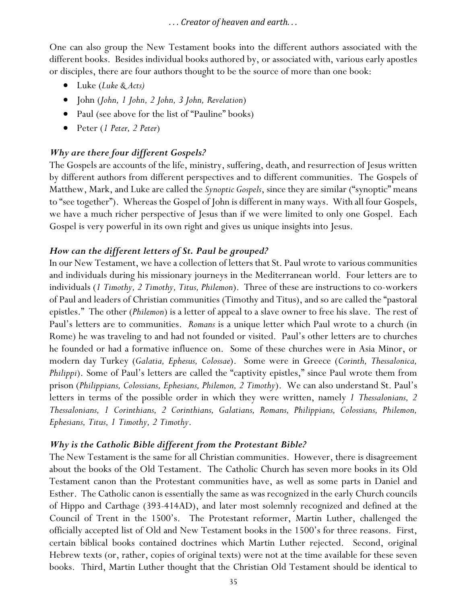One can also group the New Testament books into the different authors associated with the different books. Besides individual books authored by, or associated with, various early apostles or disciples, there are four authors thought to be the source of more than one book:

- Luke (*Luke & Acts)*
- John (*John, 1 John, 2 John, 3 John, Revelation*)
- Paul (see above for the list of "Pauline" books)
- Peter (*1 Peter, 2 Peter*)

#### *Why are there four different Gospels?*

The Gospels are accounts of the life, ministry, suffering, death, and resurrection of Jesus written by different authors from different perspectives and to different communities. The Gospels of Matthew, Mark, and Luke are called the *Synoptic Gospels*, since they are similar ("synoptic" means to "see together"). Whereas the Gospel of John is different in many ways. With all four Gospels, we have a much richer perspective of Jesus than if we were limited to only one Gospel. Each Gospel is very powerful in its own right and gives us unique insights into Jesus.

#### *How can the different letters of St. Paul be grouped?*

In our New Testament, we have a collection of letters that St. Paul wrote to various communities and individuals during his missionary journeys in the Mediterranean world. Four letters are to individuals (*1 Timothy, 2 Timothy, Titus, Philemon*). Three of these are instructions to co-workers of Paul and leaders of Christian communities (Timothy and Titus), and so are called the "pastoral epistles." The other (*Philemon*) is a letter of appeal to a slave owner to free his slave. The rest of Paul's letters are to communities. *Romans* is a unique letter which Paul wrote to a church (in Rome) he was traveling to and had not founded or visited. Paul's other letters are to churches he founded or had a formative influence on. Some of these churches were in Asia Minor, or modern day Turkey (*Galatia, Ephesus, Colossae*). Some were in Greece (*Corinth, Thessalonica, Philippi*). Some of Paul's letters are called the "captivity epistles," since Paul wrote them from prison (*Philippians, Colossians, Ephesians, Philemon, 2 Timothy*). We can also understand St. Paul's letters in terms of the possible order in which they were written, namely *1 Thessalonians, 2 Thessalonians, 1 Corinthians, 2 Corinthians, Galatians, Romans, Philippians, Colossians, Philemon, Ephesians, Titus, 1 Timothy, 2 Timothy*.

#### *Why is the Catholic Bible different from the Protestant Bible?*

The New Testament is the same for all Christian communities. However, there is disagreement about the books of the Old Testament. The Catholic Church has seven more books in its Old Testament canon than the Protestant communities have, as well as some parts in Daniel and Esther. The Catholic canon is essentially the same as was recognized in the early Church councils of Hippo and Carthage (393-414AD), and later most solemnly recognized and defined at the Council of Trent in the 1500's. The Protestant reformer, Martin Luther, challenged the officially accepted list of Old and New Testament books in the 1500's for three reasons. First, certain biblical books contained doctrines which Martin Luther rejected. Second, original Hebrew texts (or, rather, copies of original texts) were not at the time available for these seven books. Third, Martin Luther thought that the Christian Old Testament should be identical to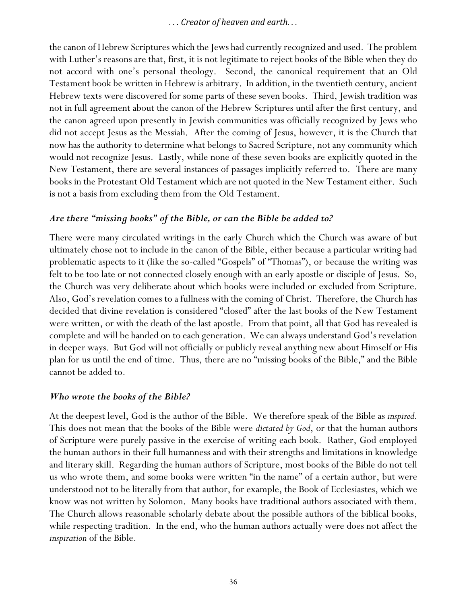the canon of Hebrew Scriptures which the Jews had currently recognized and used. The problem with Luther's reasons are that, first, it is not legitimate to reject books of the Bible when they do not accord with one's personal theology. Second, the canonical requirement that an Old Testament book be written in Hebrew is arbitrary. In addition, in the twentieth century, ancient Hebrew texts were discovered for some parts of these seven books. Third, Jewish tradition was not in full agreement about the canon of the Hebrew Scriptures until after the first century, and the canon agreed upon presently in Jewish communities was officially recognized by Jews who did not accept Jesus as the Messiah. After the coming of Jesus, however, it is the Church that now has the authority to determine what belongs to Sacred Scripture, not any community which would not recognize Jesus. Lastly, while none of these seven books are explicitly quoted in the New Testament, there are several instances of passages implicitly referred to. There are many books in the Protestant Old Testament which are not quoted in the New Testament either. Such is not a basis from excluding them from the Old Testament.

#### *Are there "missing books" of the Bible, or can the Bible be added to?*

There were many circulated writings in the early Church which the Church was aware of but ultimately chose not to include in the canon of the Bible, either because a particular writing had problematic aspects to it (like the so-called "Gospels" of "Thomas"), or because the writing was felt to be too late or not connected closely enough with an early apostle or disciple of Jesus. So, the Church was very deliberate about which books were included or excluded from Scripture. Also, God's revelation comes to a fullness with the coming of Christ. Therefore, the Church has decided that divine revelation is considered "closed" after the last books of the New Testament were written, or with the death of the last apostle. From that point, all that God has revealed is complete and will be handed on to each generation. We can always understand God's revelation in deeper ways. But God will not officially or publicly reveal anything new about Himself or His plan for us until the end of time. Thus, there are no "missing books of the Bible," and the Bible cannot be added to.

#### *Who wrote the books of the Bible?*

At the deepest level, God is the author of the Bible. We therefore speak of the Bible as *inspired.* This does not mean that the books of the Bible were *dictated by God*, or that the human authors of Scripture were purely passive in the exercise of writing each book. Rather, God employed the human authors in their full humanness and with their strengths and limitations in knowledge and literary skill. Regarding the human authors of Scripture, most books of the Bible do not tell us who wrote them, and some books were written "in the name" of a certain author, but were understood not to be literally from that author, for example, the Book of Ecclesiastes, which we know was not written by Solomon. Many books have traditional authors associated with them. The Church allows reasonable scholarly debate about the possible authors of the biblical books, while respecting tradition. In the end, who the human authors actually were does not affect the *inspiration* of the Bible.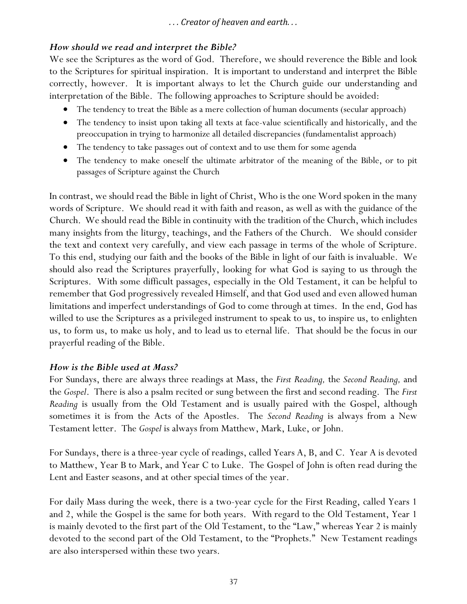#### *How should we read and interpret the Bible?*

We see the Scriptures as the word of God. Therefore, we should reverence the Bible and look to the Scriptures for spiritual inspiration. It is important to understand and interpret the Bible correctly, however. It is important always to let the Church guide our understanding and interpretation of the Bible. The following approaches to Scripture should be avoided:

- The tendency to treat the Bible as a mere collection of human documents (secular approach)
- The tendency to insist upon taking all texts at face-value scientifically and historically, and the preoccupation in trying to harmonize all detailed discrepancies (fundamentalist approach)
- The tendency to take passages out of context and to use them for some agenda
- The tendency to make oneself the ultimate arbitrator of the meaning of the Bible, or to pit passages of Scripture against the Church

In contrast, we should read the Bible in light of Christ, Who is the one Word spoken in the many words of Scripture. We should read it with faith and reason, as well as with the guidance of the Church. We should read the Bible in continuity with the tradition of the Church, which includes many insights from the liturgy, teachings, and the Fathers of the Church. We should consider the text and context very carefully, and view each passage in terms of the whole of Scripture. To this end, studying our faith and the books of the Bible in light of our faith is invaluable. We should also read the Scriptures prayerfully, looking for what God is saying to us through the Scriptures. With some difficult passages, especially in the Old Testament, it can be helpful to remember that God progressively revealed Himself, and that God used and even allowed human limitations and imperfect understandings of God to come through at times. In the end, God has willed to use the Scriptures as a privileged instrument to speak to us, to inspire us, to enlighten us, to form us, to make us holy, and to lead us to eternal life. That should be the focus in our prayerful reading of the Bible.

#### *How is the Bible used at Mass?*

For Sundays, there are always three readings at Mass, the *First Reading,* the *Second Reading,* and the *Gospel*. There is also a psalm recited or sung between the first and second reading. The *First Reading* is usually from the Old Testament and is usually paired with the Gospel, although sometimes it is from the Acts of the Apostles. The *Second Reading* is always from a New Testament letter. The *Gospel* is always from Matthew, Mark, Luke, or John.

For Sundays, there is a three-year cycle of readings, called Years A, B, and C. Year A is devoted to Matthew, Year B to Mark, and Year C to Luke. The Gospel of John is often read during the Lent and Easter seasons, and at other special times of the year.

For daily Mass during the week, there is a two-year cycle for the First Reading, called Years 1 and 2, while the Gospel is the same for both years. With regard to the Old Testament, Year 1 is mainly devoted to the first part of the Old Testament, to the "Law," whereas Year 2 is mainly devoted to the second part of the Old Testament, to the "Prophets." New Testament readings are also interspersed within these two years.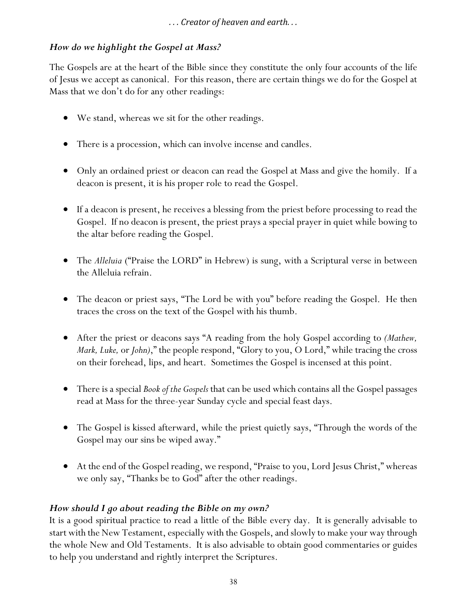# *How do we highlight the Gospel at Mass?*

The Gospels are at the heart of the Bible since they constitute the only four accounts of the life of Jesus we accept as canonical. For this reason, there are certain things we do for the Gospel at Mass that we don't do for any other readings:

- We stand, whereas we sit for the other readings.
- There is a procession, which can involve incense and candles.
- Only an ordained priest or deacon can read the Gospel at Mass and give the homily. If a deacon is present, it is his proper role to read the Gospel.
- If a deacon is present, he receives a blessing from the priest before processing to read the Gospel. If no deacon is present, the priest prays a special prayer in quiet while bowing to the altar before reading the Gospel.
- The *Alleluia* ("Praise the LORD" in Hebrew) is sung, with a Scriptural verse in between the Alleluia refrain.
- The deacon or priest says, "The Lord be with you" before reading the Gospel. He then traces the cross on the text of the Gospel with his thumb.
- After the priest or deacons says "A reading from the holy Gospel according to *(Mathew, Mark, Luke,* or *John)*," the people respond, "Glory to you, O Lord," while tracing the cross on their forehead, lips, and heart. Sometimes the Gospel is incensed at this point.
- There is a special *Book of the Gospels* that can be used which contains all the Gospel passages read at Mass for the three-year Sunday cycle and special feast days.
- The Gospel is kissed afterward, while the priest quietly says, "Through the words of the Gospel may our sins be wiped away."
- At the end of the Gospel reading, we respond, "Praise to you, Lord Jesus Christ," whereas we only say, "Thanks be to God" after the other readings.

# *How should I go about reading the Bible on my own?*

It is a good spiritual practice to read a little of the Bible every day. It is generally advisable to start with the New Testament, especially with the Gospels, and slowly to make your way through the whole New and Old Testaments. It is also advisable to obtain good commentaries or guides to help you understand and rightly interpret the Scriptures.